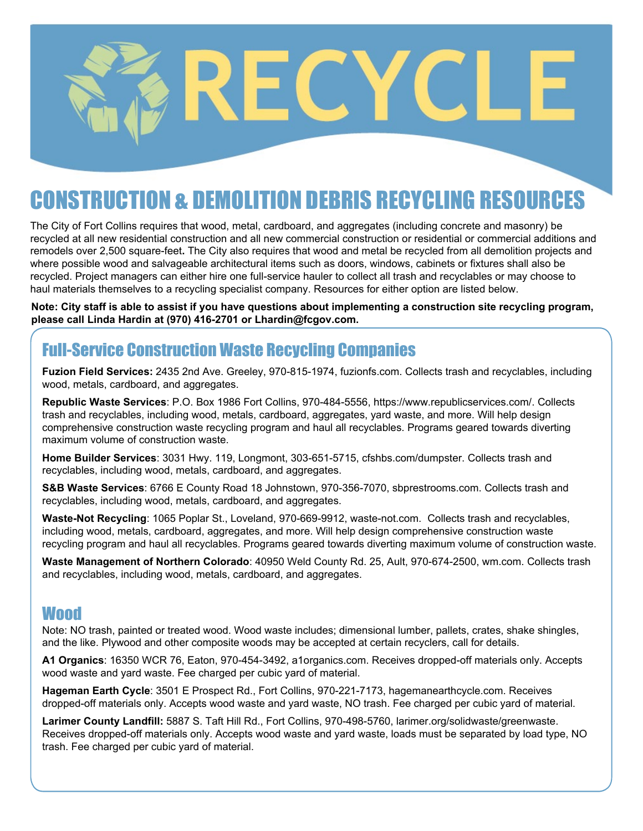# NSTRIICTION & DEMOLITION DERRIS RECYCLING RESO

The City of Fort Collins requires that wood, metal, cardboard, and aggregates (including concrete and masonry) be recycled at all new residential construction and all new commercial construction or residential or commercial additions and remodels over 2,500 square-feet**.** The City also requires that wood and metal be recycled from all demolition projects and where possible wood and salvageable architectural items such as doors, windows, cabinets or fixtures shall also be recycled. Project managers can either hire one full-service hauler to collect all trash and recyclables or may choose to haul materials themselves to a recycling specialist company. Resources for either option are listed below.

**Note: City staff is able to assist if you have questions about implementing a construction site recycling program, please call Linda Hardin at (970) 416-2701 or Lhardin@fcgov.com.** 

# Full-Service Construction Waste Recycling Companies

**Fuzion Field Services:** 2435 2nd Ave. Greeley, 970-815-1974, fuzionfs.com. Collects trash and recyclables, including wood, metals, cardboard, and aggregates.

**Republic Waste Services**: P.O. Box 1986 Fort Collins, 970-484-5556, https://www.republicservices.com/. Collects trash and recyclables, including wood, metals, cardboard, aggregates, yard waste, and more. Will help design comprehensive construction waste recycling program and haul all recyclables. Programs geared towards diverting maximum volume of construction waste.

**Home Builder Services**: 3031 Hwy. 119, Longmont, 303-651-5715, cfshbs.com/dumpster. Collects trash and recyclables, including wood, metals, cardboard, and aggregates.

**S&B Waste Services**: 6766 E County Road 18 Johnstown, 970-356-7070, sbprestrooms.com. Collects trash and recyclables, including wood, metals, cardboard, and aggregates.

**Waste-Not Recycling**: 1065 Poplar St., Loveland, 970-669-9912, waste-not.com. Collects trash and recyclables, including wood, metals, cardboard, aggregates, and more. Will help design comprehensive construction waste recycling program and haul all recyclables. Programs geared towards diverting maximum volume of construction waste.

**Waste Management of Northern Colorado**: 40950 Weld County Rd. 25, Ault, 970-674-2500, wm.com. Collects trash and recyclables, including wood, metals, cardboard, and aggregates.

# Wood

Note: NO trash, painted or treated wood. Wood waste includes; dimensional lumber, pallets, crates, shake shingles, and the like. Plywood and other composite woods may be accepted at certain recyclers, call for details.

**A1 Organics**: 16350 WCR 76, Eaton, 970-454-3492, a1organics.com. Receives dropped-off materials only. Accepts wood waste and yard waste. Fee charged per cubic yard of material.

**Hageman Earth Cycle**: 3501 E Prospect Rd., Fort Collins, 970-221-7173, hagemanearthcycle.com. Receives dropped-off materials only. Accepts wood waste and yard waste, NO trash. Fee charged per cubic yard of material.

**Larimer County Landfill:** 5887 S. Taft Hill Rd., Fort Collins, 970-498-5760, larimer.org/solidwaste/greenwaste. Receives dropped-off materials only. Accepts wood waste and yard waste, loads must be separated by load type, NO trash. Fee charged per cubic yard of material.